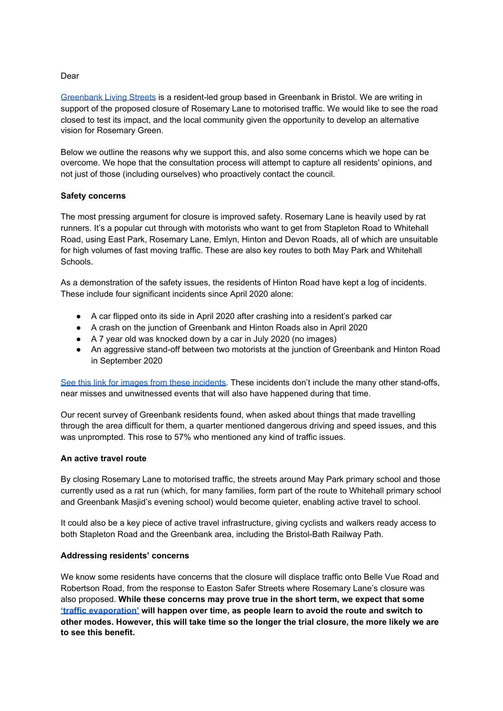# Dear

[Greenbank](https://www.livingstreets.org.uk/get-involved/local-groups/greenbank) Living Streets is a resident-led group based in Greenbank in Bristol. We are writing in support of the proposed closure of Rosemary Lane to motorised traffic. We would like to see the road closed to test its impact, and the local community given the opportunity to develop an alternative vision for Rosemary Green.

Below we outline the reasons why we support this, and also some concerns which we hope can be overcome. We hope that the consultation process will attempt to capture all residents' opinions, and not just of those (including ourselves) who proactively contact the council.

## **Safety concerns**

The most pressing argument for closure is improved safety. Rosemary Lane is heavily used by rat runners. It's a popular cut through with motorists who want to get from Stapleton Road to Whitehall Road, using East Park, Rosemary Lane, Emlyn, Hinton and Devon Roads, all of which are unsuitable for high volumes of fast moving traffic. These are also key routes to both May Park and Whitehall Schools.

As a demonstration of the safety issues, the residents of Hinton Road have kept a log of incidents. These include four significant incidents since April 2020 alone:

- A car flipped onto its side in April 2020 after crashing into a resident's parked car
- A crash on the junction of Greenbank and Hinton Roads also in April 2020
- A 7 year old was knocked down by a car in July 2020 (no images)
- An aggressive stand-off between two motorists at the junction of Greenbank and Hinton Road in September 2020

See this link for images from these [incidents.](https://drive.google.com/drive/folders/12FQs0LTkBOp7TvMFgdnYpzv6gOrafYzy?usp=sharing) These incidents don't include the many other stand-offs, near misses and unwitnessed events that will also have happened during that time.

Our recent survey of Greenbank residents found, when asked about things that made travelling through the area difficult for them, a quarter mentioned dangerous driving and speed issues, and this was unprompted. This rose to 57% who mentioned any kind of traffic issues.

### **An active travel route**

By closing Rosemary Lane to motorised traffic, the streets around May Park primary school and those currently used as a rat run (which, for many families, form part of the route to Whitehall primary school and Greenbank Masjid's evening school) would become quieter, enabling active travel to school.

It could also be a key piece of active travel infrastructure, giving cyclists and walkers ready access to both Stapleton Road and the Greenbank area, including the Bristol-Bath Railway Path.

### **Addressing residents' concerns**

We know some residents have concerns that the closure will displace traffic onto Belle Vue Road and Robertson Road, from the response to Easton Safer Streets where Rosemary Lane's closure was also proposed. **While these concerns may prove true in the short term, we expect that some 'traffic [evaporation'](https://londonlivingstreets.com/2019/07/11/evaporating-traffic-impact-of-low-traffic-neighbourhoods-on-main-roads/) will happen over time, as people learn to avoid the route and switch to other modes. However, this will take time so the longer the trial closure, the more likely we are to see this benefit.**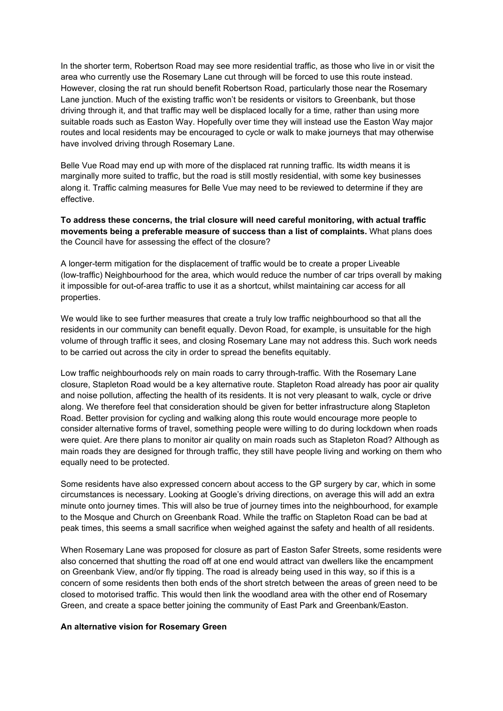In the shorter term, Robertson Road may see more residential traffic, as those who live in or visit the area who currently use the Rosemary Lane cut through will be forced to use this route instead. However, closing the rat run should benefit Robertson Road, particularly those near the Rosemary Lane junction. Much of the existing traffic won't be residents or visitors to Greenbank, but those driving through it, and that traffic may well be displaced locally for a time, rather than using more suitable roads such as Easton Way. Hopefully over time they will instead use the Easton Way major routes and local residents may be encouraged to cycle or walk to make journeys that may otherwise have involved driving through Rosemary Lane.

Belle Vue Road may end up with more of the displaced rat running traffic. Its width means it is marginally more suited to traffic, but the road is still mostly residential, with some key businesses along it. Traffic calming measures for Belle Vue may need to be reviewed to determine if they are effective.

**To address these concerns, the trial closure will need careful monitoring, with actual traffic movements being a preferable measure of success than a list of complaints.** What plans does the Council have for assessing the effect of the closure?

A longer-term mitigation for the displacement of traffic would be to create a proper Liveable (low-traffic) Neighbourhood for the area, which would reduce the number of car trips overall by making it impossible for out-of-area traffic to use it as a shortcut, whilst maintaining car access for all properties.

We would like to see further measures that create a truly low traffic neighbourhood so that all the residents in our community can benefit equally. Devon Road, for example, is unsuitable for the high volume of through traffic it sees, and closing Rosemary Lane may not address this. Such work needs to be carried out across the city in order to spread the benefits equitably.

Low traffic neighbourhoods rely on main roads to carry through-traffic. With the Rosemary Lane closure, Stapleton Road would be a key alternative route. Stapleton Road already has poor air quality and noise pollution, affecting the health of its residents. It is not very pleasant to walk, cycle or drive along. We therefore feel that consideration should be given for better infrastructure along Stapleton Road. Better provision for cycling and walking along this route would encourage more people to consider alternative forms of travel, something people were willing to do during lockdown when roads were quiet. Are there plans to monitor air quality on main roads such as Stapleton Road? Although as main roads they are designed for through traffic, they still have people living and working on them who equally need to be protected.

Some residents have also expressed concern about access to the GP surgery by car, which in some circumstances is necessary. Looking at Google's driving directions, on average this will add an extra minute onto journey times. This will also be true of journey times into the neighbourhood, for example to the Mosque and Church on Greenbank Road. While the traffic on Stapleton Road can be bad at peak times, this seems a small sacrifice when weighed against the safety and health of all residents.

When Rosemary Lane was proposed for closure as part of Easton Safer Streets, some residents were also concerned that shutting the road off at one end would attract van dwellers like the encampment on Greenbank View, and/or fly tipping. The road is already being used in this way, so if this is a concern of some residents then both ends of the short stretch between the areas of green need to be closed to motorised traffic. This would then link the woodland area with the other end of Rosemary Green, and create a space better joining the community of East Park and Greenbank/Easton.

### **An alternative vision for Rosemary Green**